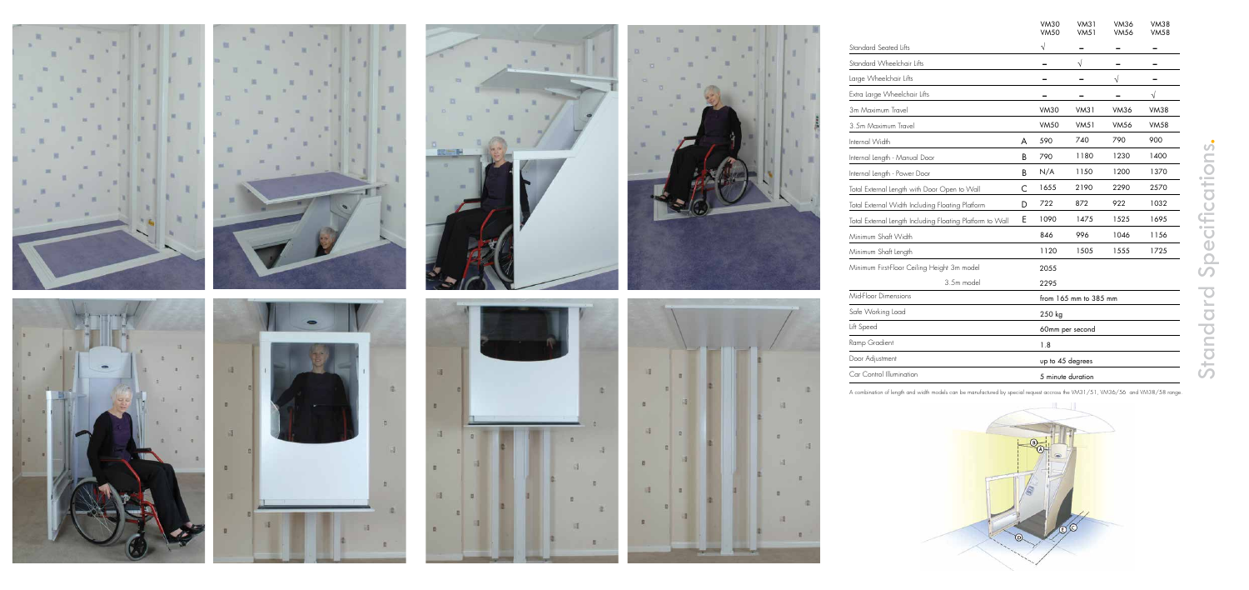













|                                                           |   | <b>VM30</b><br><b>VM50</b> | <b>VM31</b><br><b>VM51</b> | <b>VM36</b><br><b>VM56</b> | <b>VM38</b><br><b>VM58</b> |
|-----------------------------------------------------------|---|----------------------------|----------------------------|----------------------------|----------------------------|
| Standard Seated Lifts                                     |   | $\sqrt{}$                  |                            |                            |                            |
| Standard Wheelchair Lifts                                 |   |                            | $\sqrt{}$                  |                            |                            |
| Large Wheelchair Lifts                                    |   |                            |                            | $\sqrt{}$                  |                            |
| Extra Large Wheelchair Lifts                              |   |                            |                            |                            |                            |
| 3m Maximum Travel                                         |   | <b>VM30</b>                | <b>VM31</b>                | <b>VM36</b>                | <b>VM38</b>                |
| 3.5m Maximum Travel                                       |   | <b>VM50</b>                | <b>VM51</b>                | <b>VM56</b>                | <b>VM58</b>                |
| Internal Width                                            | A | 590                        | 740                        | 790                        | 900                        |
| Internal Length - Manual Door                             | B | 790                        | 1180                       | 1230                       | 1400                       |
| Internal Length - Power Door                              | B | N/A                        | 1150                       | 1200                       | 1370                       |
| Total External Length with Door Open to Wall              | C | 1655                       | 2190                       | 2290                       | 2570                       |
| Total External Width Including Floating Platform          | D | 722                        | 872                        | 922                        | 1032                       |
| Total External Length Including Floating Platform to Wall | E | 1090                       | 1475                       | 1525                       | 1695                       |
| Minimum Shaft Width                                       |   | 846                        | 996                        | 1046                       | 1156                       |
| Minimum Shaft Length                                      |   | 1120                       | 1505                       | 1555                       | 1725                       |
| Minimum First-Floor Ceiling Height 3m model               |   | 2055                       |                            |                            |                            |
| 3.5m model                                                |   | 2295                       |                            |                            |                            |
| Mid-Floor Dimensions                                      |   | from 165 mm to 385 mm      |                            |                            |                            |
| Safe Working Load                                         |   | 250 kg                     |                            |                            |                            |
| Lift Speed                                                |   | 60mm per second            |                            |                            |                            |
| Ramp Gradient                                             |   | 1.8                        |                            |                            |                            |
| Door Adjustment                                           |   | up to 45 degrees           |                            |                            |                            |
| Car Control Illumination                                  |   | 5 minute duration          |                            |                            |                            |

A combination of length and width models can be manufactured by special request accross the VM31/51, VM36/56 and VM38/58 range.